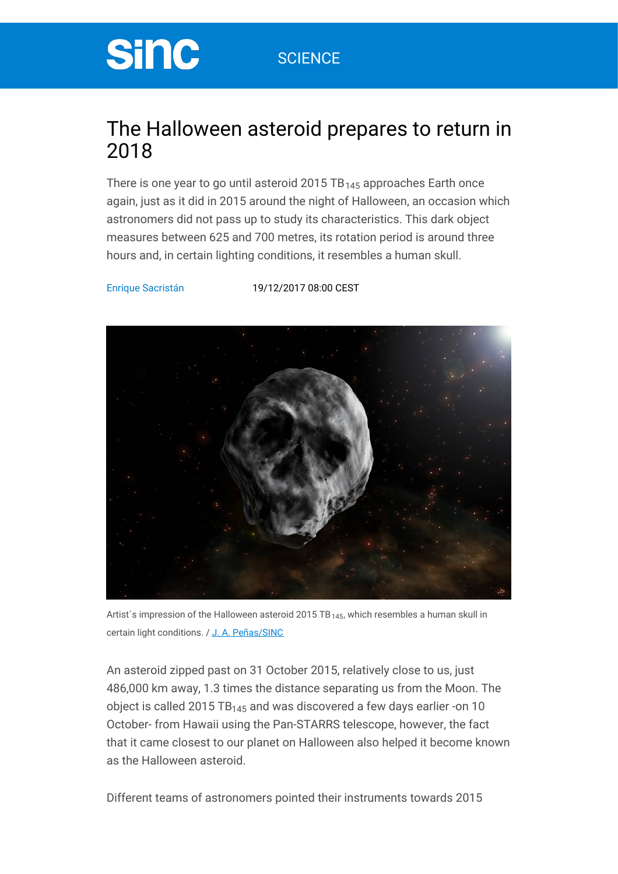# **Sinc**

### The Halloween asteroid prepares to return in 2018

There is one year to go until asteroid 2015  $\texttt{TB}_{\texttt{145}}$  approaches Earth once again, just as it did in 2015 around the night of Halloween, an occasion which astronomers did not pass up to study its characteristics. This dark object measures between 625 and 700 metres, its rotation period is around three hours and, in certain lighting conditions, it resembles a human skull.

Enrique [Sacristán](https://www.agenciasinc.es/en/Autor/Enrique-Sacristan) [19/12/2017](https://www.agenciasinc.es/en/articulos-del-dia/19-12-17) 08:00 CEST



Artist's impression of the Halloween asteroid 2015 TB<sub>145</sub>, which resembles a human skull in certain light conditions. / J. A. [Peñas/SINC](http://www.agenciasinc.es/Multimedia/Ilustraciones/El-asteroide-que-recuerda-a-una-calavera)

An asteroid zipped past on 31 October 2015, relatively close to us, just 486,000 km away, 1.3 times the distance separating us from the Moon. The object is called 2015 TB $_{145}$  and was discovered a few days earlier -on 10  $^{\circ}$ October- from Hawaii using the Pan-STARRS telescope, however, the fact that it came closest to our planet on Halloween also helped it become known as the Halloween asteroid.

Different teams of astronomers pointed their instruments towards 2015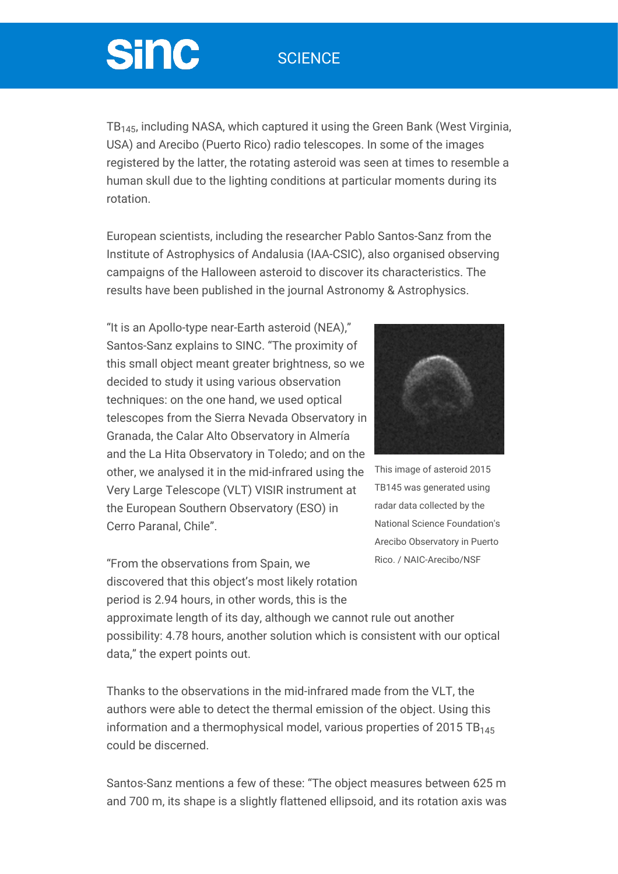### **SCIENCE**

# **Sinc**

TB $_{145}$ , including NASA, which captured it using the Green Bank (West Virginia, USA) and Arecibo (Puerto Rico) radio telescopes. In some of the images registered by the latter, the rotating asteroid was seen at times to resemble a human skull due to the lighting conditions at particular moments during its rotation.

European scientists, including the researcher Pablo Santos-Sanz from the Institute of Astrophysics of Andalusia (IAA-CSIC), also organised observing campaigns of the Halloween asteroid to discover its characteristics. The results have been published in the journal Astronomy & Astrophysics.

"It is an Apollo-type near-Earth asteroid (NEA)," Santos-Sanz explains to SINC. "The proximity of this small object meant greater brightness, so we decided to study it using various observation techniques: on the one hand, we used optical telescopes from the Sierra Nevada Observatory in Granada, the Calar Alto Observatory in Almería and the La Hita Observatory in Toledo; and on the other, we analysed it in the mid-infrared using the Very Large Telescope (VLT) VISIR instrument at the European Southern Observatory (ESO) in Cerro Paranal, Chile".

"From the observations from Spain, we discovered that this object's most likely rotation period is 2.94 hours, in other words, this is the



This image of asteroid 2015 TB145 was generated using radar data collected by the National Science Foundation's Arecibo Observatory in Puerto Rico. / NAIC-Arecibo/NSF

approximate length of its day, although we cannot rule out another possibility: 4.78 hours, another solution which is consistent with our optical data," the expert points out.

Thanks to the observations in the mid-infrared made from the VLT, the authors were able to detect the thermal emission of the object. Using this information and a thermophysical model, various properties of 2015 TB 145 could be discerned.

Santos-Sanz mentions a few of these: "The object measures between 625 m and 700 m, its shape is a slightly flattened ellipsoid, and its rotation axis was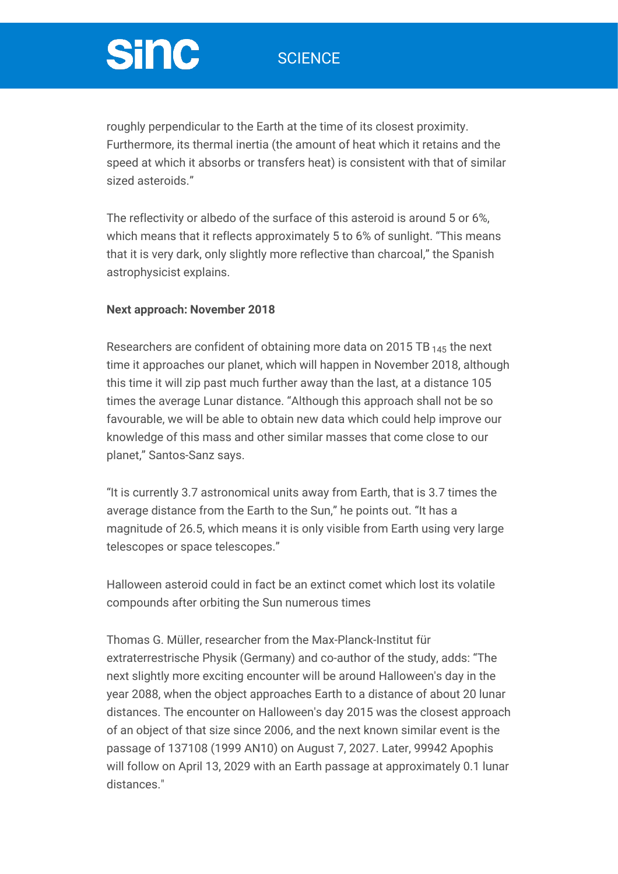### **SCIENCE**

# **Sinc**

roughly perpendicular to the Earth at the time of its closest proximity. Furthermore, its thermal inertia (the amount of heat which it retains and the speed at which it absorbs or transfers heat) is consistent with that of similar sized asteroids."

The reflectivity or albedo of the surface of this asteroid is around 5 or 6%, which means that it reflects approximately 5 to 6% of sunlight. "This means that it is very dark, only slightly more reflective than charcoal," the Spanish astrophysicist explains.

### **Next approach: November 2018**

Researchers are confident of obtaining more data on 2015 TB  $_{145}$  the next time it approaches our planet, which will happen in November 2018, although this time it will zip past much further away than the last, at a distance 105 times the average Lunar distance. "Although this approach shall not be so favourable, we will be able to obtain new data which could help improve our knowledge of this mass and other similar masses that come close to our planet," Santos-Sanz says.

"It is currently 3.7 astronomical units away from Earth, that is 3.7 times the average distance from the Earth to the Sun," he points out. "It has a magnitude of 26.5, which means it is only visible from Earth using very large telescopes or space telescopes."

Halloween asteroid could in fact be an extinct comet which lost its volatile compounds after orbiting the Sun numerous times

Thomas G. Müller, researcher from the Max-Planck-Institut für extraterrestrische Physik (Germany) and co-author of the study, adds: "The next slightly more exciting encounter will be around Halloween's day in the year 2088, when the object approaches Earth to a distance of about 20 lunar distances. The encounter on Halloween's day 2015 was the closest approach of an object of that size since 2006, and the next known similar event is the passage of 137108 (1999 AN10) on August 7, 2027. Later, 99942 Apophis will follow on April 13, 2029 with an Earth passage at approximately 0.1 lunar distances."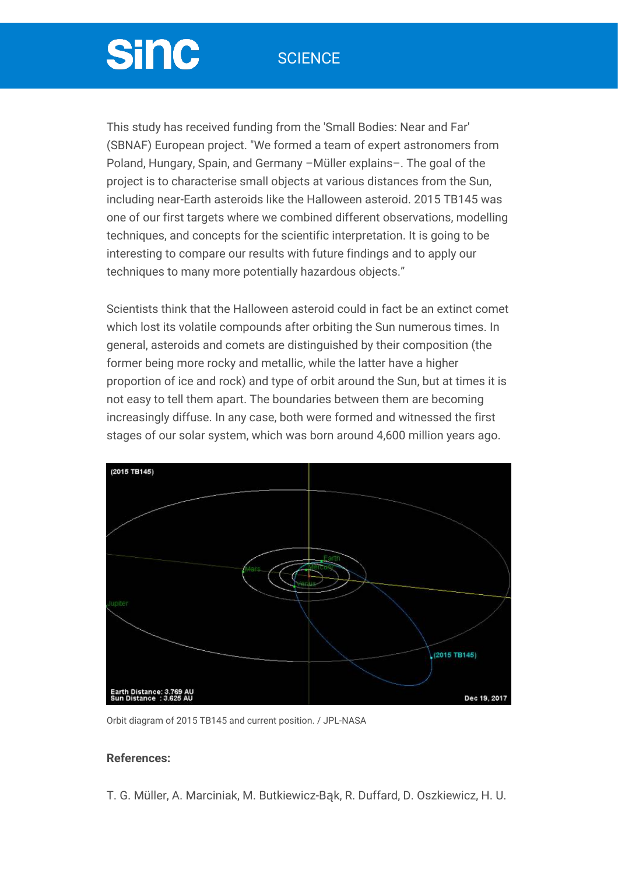### **SCIENCE**

# **Sinc**

This study has received funding from the 'Small Bodies: Near and Far' (SBNAF) European project. "We formed a team of expert astronomers from Poland, Hungary, Spain, and Germany –Müller explains–. The goal of the project is to characterise small objects at various distances from the Sun, including near-Earth asteroids like the Halloween asteroid. 2015 TB145 was one of our first targets where we combined different observations, modelling techniques, and concepts for the scientific interpretation. It is going to be interesting to compare our results with future findings and to apply our techniques to many more potentially hazardous objects."

Scientists think that the Halloween asteroid could in fact be an extinct comet which lost its volatile compounds after orbiting the Sun numerous times. In general, asteroids and comets are distinguished by their composition (the former being more rocky and metallic, while the latter have a higher proportion of ice and rock) and type of orbit around the Sun, but at times it is not easy to tell them apart. The boundaries between them are becoming increasingly diffuse. In any case, both were formed and witnessed the first stages of our solar system, which was born around 4,600 million years ago.



Orbit diagram of 2015 TB145 and current position. / JPL-NASA

#### **References:**

T. G. Müller, A. Marciniak, M. Butkiewicz-Bąk, R. Duffard, D. Oszkiewicz, H. U.